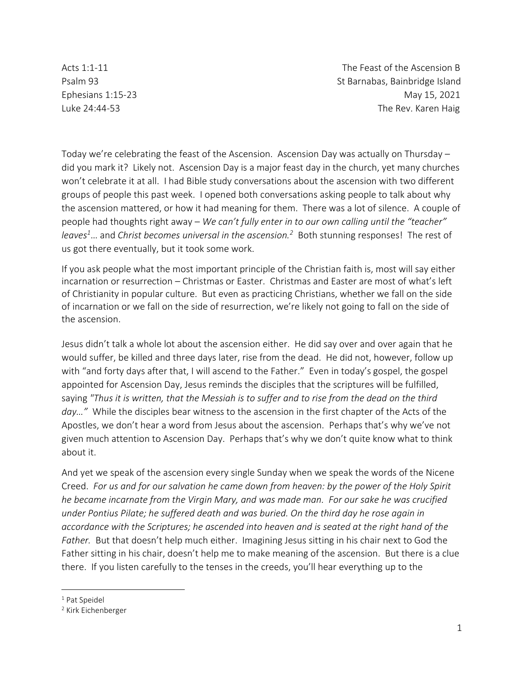Acts 1:1-11 The Feast of the Ascension B Psalm 93 St Barnabas, Bainbridge Island Ephesians 1:15-23 May 15, 2021 Luke 24:44-53 The Rev. Karen Haig

Today we're celebrating the feast of the Ascension. Ascension Day was actually on Thursday – did you mark it? Likely not. Ascension Day is a major feast day in the church, yet many churches won't celebrate it at all. I had Bible study conversations about the ascension with two different groups of people this past week. I opened both conversations asking people to talk about why the ascension mattered, or how it had meaning for them. There was a lot of silence. A couple of people had thoughts right away – *We can't fully enter in to our own calling until the "teacher" leaves<sup>1</sup>*… and *Christ becomes universal in the ascension.<sup>2</sup>* Both stunning responses! The rest of us got there eventually, but it took some work.

If you ask people what the most important principle of the Christian faith is, most will say either incarnation or resurrection – Christmas or Easter. Christmas and Easter are most of what's left of Christianity in popular culture. But even as practicing Christians, whether we fall on the side of incarnation or we fall on the side of resurrection, we're likely not going to fall on the side of the ascension.

Jesus didn't talk a whole lot about the ascension either. He did say over and over again that he would suffer, be killed and three days later, rise from the dead. He did not, however, follow up with "and forty days after that, I will ascend to the Father." Even in today's gospel, the gospel appointed for Ascension Day, Jesus reminds the disciples that the scriptures will be fulfilled, saying *"Thus it is written, that the Messiah is to suffer and to rise from the dead on the third day…"* While the disciples bear witness to the ascension in the first chapter of the Acts of the Apostles, we don't hear a word from Jesus about the ascension. Perhaps that's why we've not given much attention to Ascension Day. Perhaps that's why we don't quite know what to think about it.

And yet we speak of the ascension every single Sunday when we speak the words of the Nicene Creed. *For us and for our salvation he came down from heaven: by the power of the Holy Spirit he became incarnate from the Virgin Mary, and was made man. For our sake he was crucified under Pontius Pilate; he suffered death and was buried. On the third day he rose again in accordance with the Scriptures; he ascended into heaven and is seated at the right hand of the Father.* But that doesn't help much either. Imagining Jesus sitting in his chair next to God the Father sitting in his chair, doesn't help me to make meaning of the ascension. But there is a clue there. If you listen carefully to the tenses in the creeds, you'll hear everything up to the

<sup>&</sup>lt;sup>1</sup> Pat Speidel

<sup>2</sup> Kirk Eichenberger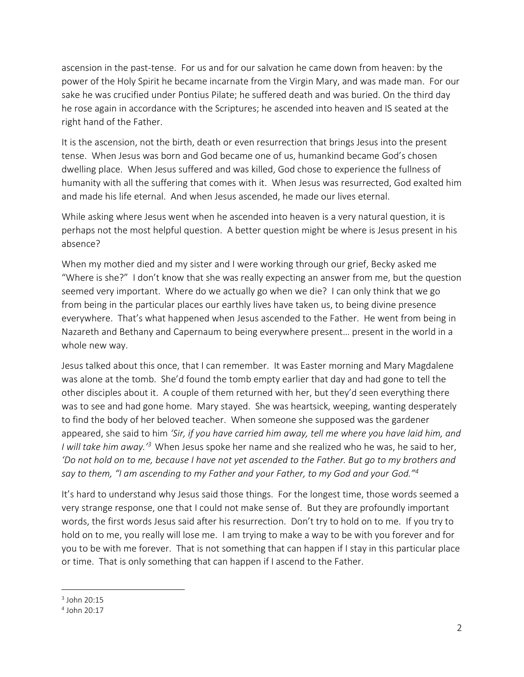ascension in the past-tense. For us and for our salvation he came down from heaven: by the power of the Holy Spirit he became incarnate from the Virgin Mary, and was made man. For our sake he was crucified under Pontius Pilate; he suffered death and was buried. On the third day he rose again in accordance with the Scriptures; he ascended into heaven and IS seated at the right hand of the Father.

It is the ascension, not the birth, death or even resurrection that brings Jesus into the present tense. When Jesus was born and God became one of us, humankind became God's chosen dwelling place. When Jesus suffered and was killed, God chose to experience the fullness of humanity with all the suffering that comes with it. When Jesus was resurrected, God exalted him and made his life eternal. And when Jesus ascended, he made our lives eternal.

While asking where Jesus went when he ascended into heaven is a very natural question, it is perhaps not the most helpful question. A better question might be where is Jesus present in his absence?

When my mother died and my sister and I were working through our grief, Becky asked me "Where is she?" I don't know that she was really expecting an answer from me, but the question seemed very important. Where do we actually go when we die? I can only think that we go from being in the particular places our earthly lives have taken us, to being divine presence everywhere. That's what happened when Jesus ascended to the Father. He went from being in Nazareth and Bethany and Capernaum to being everywhere present… present in the world in a whole new way.

Jesus talked about this once, that I can remember. It was Easter morning and Mary Magdalene was alone at the tomb. She'd found the tomb empty earlier that day and had gone to tell the other disciples about it. A couple of them returned with her, but they'd seen everything there was to see and had gone home. Mary stayed. She was heartsick, weeping, wanting desperately to find the body of her beloved teacher. When someone she supposed was the gardener appeared, she said to him *'Sir, if you have carried him away, tell me where you have laid him, and I will take him away.'<sup>3</sup>* When Jesus spoke her name and she realized who he was, he said to her, *'Do not hold on to me, because I have not yet ascended to the Father. But go to my brothers and say to them, "I am ascending to my Father and your Father, to my God and your God."<sup>4</sup>*

It's hard to understand why Jesus said those things. For the longest time, those words seemed a very strange response, one that I could not make sense of. But they are profoundly important words, the first words Jesus said after his resurrection. Don't try to hold on to me. If you try to hold on to me, you really will lose me. I am trying to make a way to be with you forever and for you to be with me forever. That is not something that can happen if I stay in this particular place or time. That is only something that can happen if I ascend to the Father.

 $3$  John 20:15

<sup>4</sup> John 20:17